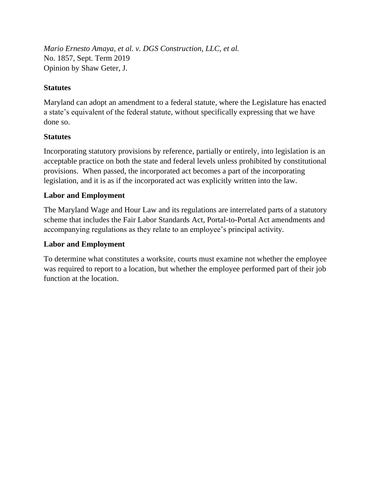*Mario Ernesto Amaya, et al. v. DGS Construction, LLC, et al.* No. 1857, Sept. Term 2019 Opinion by Shaw Geter, J.

# **Statutes**

Maryland can adopt an amendment to a federal statute, where the Legislature has enacted a state's equivalent of the federal statute, without specifically expressing that we have done so.

# **Statutes**

Incorporating statutory provisions by reference, partially or entirely, into legislation is an acceptable practice on both the state and federal levels unless prohibited by constitutional provisions. When passed, the incorporated act becomes a part of the incorporating legislation, and it is as if the incorporated act was explicitly written into the law.

# **Labor and Employment**

The Maryland Wage and Hour Law and its regulations are interrelated parts of a statutory scheme that includes the Fair Labor Standards Act, Portal-to-Portal Act amendments and accompanying regulations as they relate to an employee's principal activity.

## **Labor and Employment**

To determine what constitutes a worksite, courts must examine not whether the employee was required to report to a location, but whether the employee performed part of their job function at the location.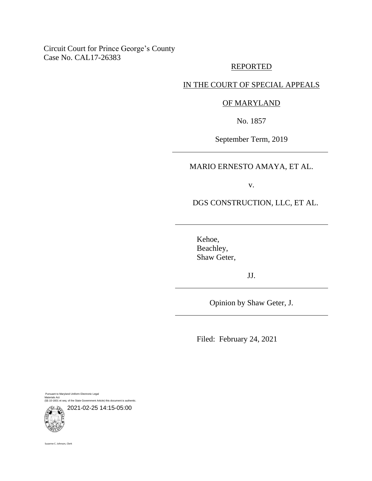## Circuit Court for Prince George's County Case No. CAL17-26383

### REPORTED

# IN THE COURT OF SPECIAL APPEALS

### OF MARYLAND

No. 1857

September Term, 2019

### MARIO ERNESTO AMAYA, ET AL.

v.

DGS CONSTRUCTION, LLC, ET AL.

Kehoe, Beachley, Shaw Geter,

JJ.

Opinion by Shaw Geter, J.

Filed: February 24, 2021

Pursuant to Maryland Uniform Electronic Legal Materials Act (§§ 10-1601 et seq. of the State Government Article) this document is authentic.

2021-02-25 14:15-05:00

Suzanne C. Johnson, Clerk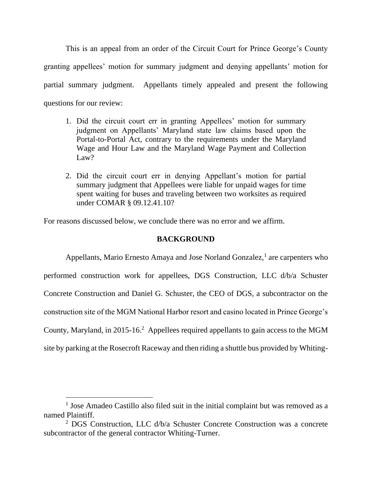This is an appeal from an order of the Circuit Court for Prince George's County granting appellees' motion for summary judgment and denying appellants' motion for partial summary judgment. Appellants timely appealed and present the following questions for our review:

- 1. Did the circuit court err in granting Appellees' motion for summary judgment on Appellants' Maryland state law claims based upon the Portal-to-Portal Act, contrary to the requirements under the Maryland Wage and Hour Law and the Maryland Wage Payment and Collection Law?
- 2. Did the circuit court err in denying Appellant's motion for partial summary judgment that Appellees were liable for unpaid wages for time spent waiting for buses and traveling between two worksites as required under COMAR § 09.12.41.10?

For reasons discussed below, we conclude there was no error and we affirm.

### **BACKGROUND**

Appellants, Mario Ernesto Amaya and Jose Norland Gonzalez,<sup>1</sup> are carpenters who performed construction work for appellees, DGS Construction, LLC d/b/a Schuster Concrete Construction and Daniel G. Schuster, the CEO of DGS, a subcontractor on the construction site of the MGM National Harbor resort and casino located in Prince George's County, Maryland, in 2015-16.<sup>2</sup> Appellees required appellants to gain access to the MGM site by parking at the Rosecroft Raceway and then riding a shuttle bus provided by Whiting-

<sup>&</sup>lt;sup>1</sup> Jose Amadeo Castillo also filed suit in the initial complaint but was removed as a named Plaintiff.

<sup>&</sup>lt;sup>2</sup> DGS Construction, LLC  $d/b/a$  Schuster Concrete Construction was a concrete subcontractor of the general contractor Whiting-Turner.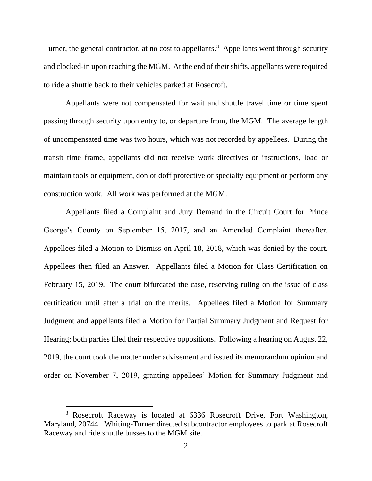Turner, the general contractor, at no cost to appellants.<sup>3</sup> Appellants went through security and clocked-in upon reaching the MGM. At the end of their shifts, appellants were required to ride a shuttle back to their vehicles parked at Rosecroft.

Appellants were not compensated for wait and shuttle travel time or time spent passing through security upon entry to, or departure from, the MGM. The average length of uncompensated time was two hours, which was not recorded by appellees. During the transit time frame, appellants did not receive work directives or instructions, load or maintain tools or equipment, don or doff protective or specialty equipment or perform any construction work. All work was performed at the MGM.

Appellants filed a Complaint and Jury Demand in the Circuit Court for Prince George's County on September 15, 2017, and an Amended Complaint thereafter. Appellees filed a Motion to Dismiss on April 18, 2018, which was denied by the court. Appellees then filed an Answer. Appellants filed a Motion for Class Certification on February 15, 2019. The court bifurcated the case, reserving ruling on the issue of class certification until after a trial on the merits. Appellees filed a Motion for Summary Judgment and appellants filed a Motion for Partial Summary Judgment and Request for Hearing; both parties filed their respective oppositions. Following a hearing on August 22, 2019, the court took the matter under advisement and issued its memorandum opinion and order on November 7, 2019, granting appellees' Motion for Summary Judgment and

<sup>&</sup>lt;sup>3</sup> Rosecroft Raceway is located at 6336 Rosecroft Drive, Fort Washington, Maryland, 20744. Whiting-Turner directed subcontractor employees to park at Rosecroft Raceway and ride shuttle busses to the MGM site.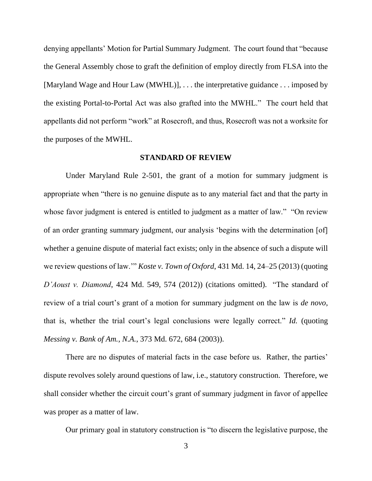denying appellants' Motion for Partial Summary Judgment. The court found that "because the General Assembly chose to graft the definition of employ directly from FLSA into the [Maryland Wage and Hour Law (MWHL)], . . . the interpretative guidance . . . imposed by the existing Portal-to-Portal Act was also grafted into the MWHL." The court held that appellants did not perform "work" at Rosecroft, and thus, Rosecroft was not a worksite for the purposes of the MWHL.

#### **STANDARD OF REVIEW**

Under Maryland Rule 2-501, the grant of a motion for summary judgment is appropriate when "there is no genuine dispute as to any material fact and that the party in whose favor judgment is entered is entitled to judgment as a matter of law." "On review of an order granting summary judgment, our analysis 'begins with the determination [of] whether a genuine dispute of material fact exists; only in the absence of such a dispute will we review questions of law.'" *Koste v. Town of Oxford*, 431 Md. 14, 24–25 (2013) (quoting *D'Aoust v. Diamond*, 424 Md. 549, 574 (2012)) (citations omitted). "The standard of review of a trial court's grant of a motion for summary judgment on the law is *de novo*, that is, whether the trial court's legal conclusions were legally correct." *Id.* (quoting *Messing v. Bank of Am., N.A.*, 373 Md. 672, 684 (2003)).

There are no disputes of material facts in the case before us. Rather, the parties' dispute revolves solely around questions of law, i.e., statutory construction. Therefore, we shall consider whether the circuit court's grant of summary judgment in favor of appellee was proper as a matter of law.

Our primary goal in statutory construction is "to discern the legislative purpose, the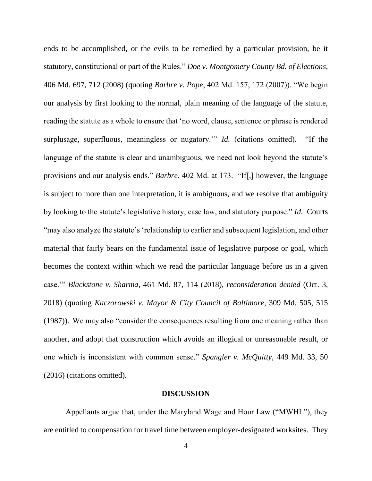ends to be accomplished, or the evils to be remedied by a particular provision, be it statutory, constitutional or part of the Rules." *Doe v. Montgomery County Bd. of Elections*, 406 Md. 697, 712 (2008) (quoting *Barbre v. Pope*, 402 Md. 157, 172 (2007)). "We begin our analysis by first looking to the normal, plain meaning of the language of the statute, reading the statute as a whole to ensure that 'no word, clause, sentence or phrase is rendered surplusage, superfluous, meaningless or nugatory.'" *Id.* (citations omitted). "If the language of the statute is clear and unambiguous, we need not look beyond the statute's provisions and our analysis ends." *Barbre*, 402 Md. at 173. "If[,] however, the language is subject to more than one interpretation, it is ambiguous, and we resolve that ambiguity by looking to the statute's legislative history, case law, and statutory purpose." *Id.* Courts "may also analyze the statute's 'relationship to earlier and subsequent legislation, and other material that fairly bears on the fundamental issue of legislative purpose or goal, which becomes the context within which we read the particular language before us in a given case.'" *Blackstone v. Sharma*, 461 Md. 87, 114 (2018), *reconsideration denied* (Oct. 3, 2018) (quoting *Kaczorowski v. Mayor & City Council of Baltimore*, 309 Md. 505, 515 (1987)). We may also "consider the consequences resulting from one meaning rather than another, and adopt that construction which avoids an illogical or unreasonable result, or one which is inconsistent with common sense." *Spangler v. McQuitty*, 449 Md. 33, 50 (2016) (citations omitted).

#### **DISCUSSION**

Appellants argue that, under the Maryland Wage and Hour Law ("MWHL"), they are entitled to compensation for travel time between employer-designated worksites. They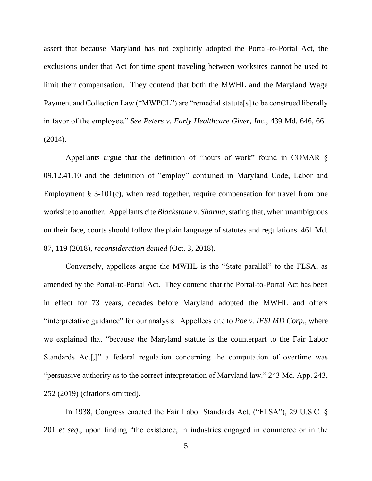assert that because Maryland has not explicitly adopted the Portal-to-Portal Act, the exclusions under that Act for time spent traveling between worksites cannot be used to limit their compensation. They contend that both the MWHL and the Maryland Wage Payment and Collection Law ("MWPCL") are "remedial statute<sup>[s]</sup> to be construed liberally in favor of the employee." *See Peters v. Early Healthcare Giver, Inc.*, 439 Md. 646, 661 (2014).

Appellants argue that the definition of "hours of work" found in COMAR § 09.12.41.10 and the definition of "employ" contained in Maryland Code, Labor and Employment  $\S$  3-101(c), when read together, require compensation for travel from one worksite to another. Appellants cite *Blackstone v. Sharma*, stating that, when unambiguous on their face, courts should follow the plain language of statutes and regulations. 461 Md. 87, 119 (2018), *reconsideration denied* (Oct. 3, 2018).

Conversely, appellees argue the MWHL is the "State parallel" to the FLSA, as amended by the Portal-to-Portal Act. They contend that the Portal-to-Portal Act has been in effect for 73 years, decades before Maryland adopted the MWHL and offers "interpretative guidance" for our analysis. Appellees cite to *Poe v. IESI MD Corp.*, where we explained that "because the Maryland statute is the counterpart to the Fair Labor Standards Act<sup>[</sup>,]" a federal regulation concerning the computation of overtime was "persuasive authority as to the correct interpretation of Maryland law." 243 Md. App. 243, 252 (2019) (citations omitted).

In 1938, Congress enacted the Fair Labor Standards Act, ("FLSA"), 29 U.S.C. § 201 *et seq*., upon finding "the existence, in industries engaged in commerce or in the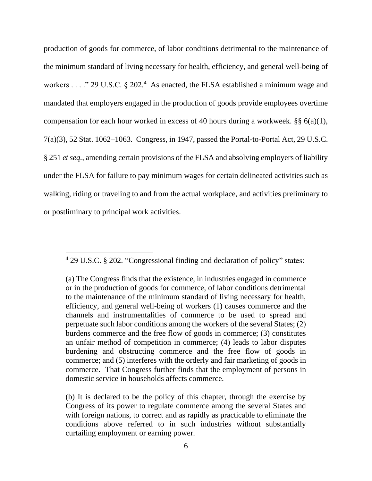production of goods for commerce, of labor conditions detrimental to the maintenance of the minimum standard of living necessary for health, efficiency, and general well-being of workers . . . ." 29 U.S.C.  $\S 202$ .<sup>4</sup> As enacted, the FLSA established a minimum wage and mandated that employers engaged in the production of goods provide employees overtime compensation for each hour worked in excess of 40 hours during a workweek.  $\S\S 6(a)(1)$ , 7(a)(3), 52 Stat. 1062–1063. Congress, in 1947, passed the Portal-to-Portal Act, 29 U.S.C. § 251 *et seq.*, amending certain provisions of the FLSA and absolving employers of liability under the FLSA for failure to pay minimum wages for certain delineated activities such as walking, riding or traveling to and from the actual workplace, and activities preliminary to or postliminary to principal work activities.

<sup>4</sup> 29 U.S.C. § 202. "Congressional finding and declaration of policy" states:

<sup>(</sup>a) The Congress finds that the existence, in industries engaged in commerce or in the production of goods for commerce, of labor conditions detrimental to the maintenance of the minimum standard of living necessary for health, efficiency, and general well-being of workers (1) causes commerce and the channels and instrumentalities of commerce to be used to spread and perpetuate such labor conditions among the workers of the several States; (2) burdens commerce and the free flow of goods in commerce; (3) constitutes an unfair method of competition in commerce; (4) leads to labor disputes burdening and obstructing commerce and the free flow of goods in commerce; and (5) interferes with the orderly and fair marketing of goods in commerce. That Congress further finds that the employment of persons in domestic service in households affects commerce.

<sup>(</sup>b) It is declared to be the policy of this chapter, through the exercise by Congress of its power to regulate commerce among the several States and with foreign nations, to correct and as rapidly as practicable to eliminate the conditions above referred to in such industries without substantially curtailing employment or earning power.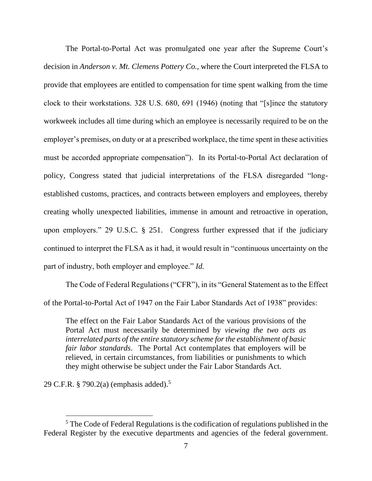The Portal-to-Portal Act was promulgated one year after the Supreme Court's decision in *Anderson v. Mt. Clemens Pottery Co.*, where the Court interpreted the FLSA to provide that employees are entitled to compensation for time spent walking from the time clock to their workstations. 328 U.S. 680, 691 (1946) (noting that "[s]ince the statutory workweek includes all time during which an employee is necessarily required to be on the employer's premises, on duty or at a prescribed workplace, the time spent in these activities must be accorded appropriate compensation"). In its Portal-to-Portal Act declaration of policy, Congress stated that judicial interpretations of the FLSA disregarded "longestablished customs, practices, and contracts between employers and employees, thereby creating wholly unexpected liabilities, immense in amount and retroactive in operation, upon employers." 29 U.S.C. § 251. Congress further expressed that if the judiciary continued to interpret the FLSA as it had, it would result in "continuous uncertainty on the part of industry, both employer and employee." *Id.*

The Code of Federal Regulations ("CFR"), in its "General Statement as to the Effect of the Portal-to-Portal Act of 1947 on the Fair Labor Standards Act of 1938" provides:

The effect on the Fair Labor Standards Act of the various provisions of the Portal Act must necessarily be determined by *viewing the two acts as interrelated parts of the entire statutory scheme for the establishment of basic fair labor standards*. The Portal Act contemplates that employers will be relieved, in certain circumstances, from liabilities or punishments to which they might otherwise be subject under the Fair Labor Standards Act.

29 C.F.R. § 790.2(a) (emphasis added).<sup>5</sup>

<sup>5</sup> The Code of Federal Regulations is the codification of regulations published in the Federal Register by the executive departments and agencies of the federal government.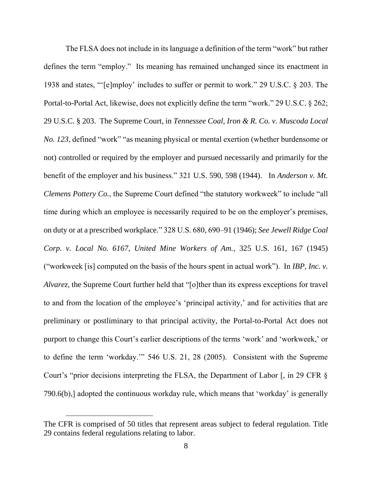The FLSA does not include in its language a definition of the term "work" but rather defines the term "employ." Its meaning has remained unchanged since its enactment in 1938 and states, "'[e]mploy' includes to suffer or permit to work." 29 U.S.C. § 203. The Portal-to-Portal Act, likewise, does not explicitly define the term "work." 29 U.S.C. § 262; 29 U.S.C. § 203. The Supreme Court, in *Tennessee Coal, Iron & R. Co. v. Muscoda Local No. 123*, defined "work" "as meaning physical or mental exertion (whether burdensome or not) controlled or required by the employer and pursued necessarily and primarily for the benefit of the employer and his business." 321 U.S. 590, 598 (1944). In *Anderson v. Mt. Clemens Pottery Co.*, the Supreme Court defined "the statutory workweek" to include "all time during which an employee is necessarily required to be on the employer's premises, on duty or at a prescribed workplace." 328 U.S. 680, 690–91 (1946); *See Jewell Ridge Coal Corp. v. Local No. 6167, United Mine Workers of Am.*, 325 U.S. 161, 167 (1945) ("workweek [is] computed on the basis of the hours spent in actual work"). In *IBP, Inc. v. Alvarez*, the Supreme Court further held that "[o]ther than its express exceptions for travel to and from the location of the employee's 'principal activity,' and for activities that are preliminary or postliminary to that principal activity, the Portal-to-Portal Act does not purport to change this Court's earlier descriptions of the terms 'work' and 'workweek,' or to define the term 'workday.'" 546 U.S. 21, 28 (2005). Consistent with the Supreme Court's "prior decisions interpreting the FLSA, the Department of Labor [, in 29 CFR § 790.6(b),] adopted the continuous workday rule, which means that 'workday' is generally

The CFR is comprised of 50 titles that represent areas subject to federal regulation. Title 29 contains federal regulations relating to labor.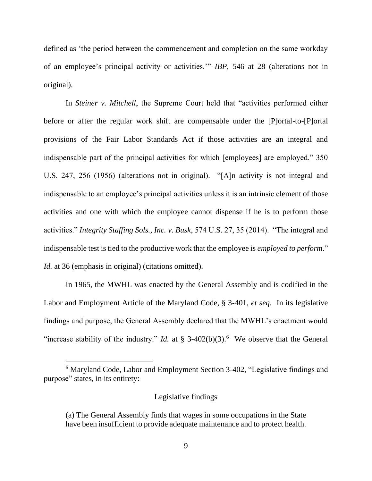defined as 'the period between the commencement and completion on the same workday of an employee's principal activity or activities.'" *IBP*, 546 at 28 (alterations not in original).

In *Steiner v. Mitchell*, the Supreme Court held that "activities performed either before or after the regular work shift are compensable under the [P]ortal-to-[P]ortal provisions of the Fair Labor Standards Act if those activities are an integral and indispensable part of the principal activities for which [employees] are employed." 350 U.S. 247, 256 (1956) (alterations not in original). "[A]n activity is not integral and indispensable to an employee's principal activities unless it is an intrinsic element of those activities and one with which the employee cannot dispense if he is to perform those activities." *Integrity Staffing Sols., Inc. v. Busk*, 574 U.S. 27, 35 (2014). "The integral and indispensable test is tied to the productive work that the employee is *employed to perform*." *Id.* at 36 (emphasis in original) (citations omitted).

In 1965, the MWHL was enacted by the General Assembly and is codified in the Labor and Employment Article of the Maryland Code, § 3-401, *et seq.* In its legislative findings and purpose, the General Assembly declared that the MWHL's enactment would "increase stability of the industry." *Id.* at  $\S$  3-402(b)(3).<sup>6</sup> We observe that the General

### Legislative findings

<sup>6</sup> Maryland Code, Labor and Employment Section 3-402, "Legislative findings and purpose" states, in its entirety:

<sup>(</sup>a) The General Assembly finds that wages in some occupations in the State have been insufficient to provide adequate maintenance and to protect health.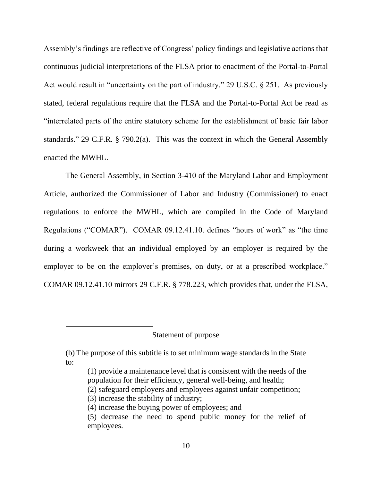Assembly's findings are reflective of Congress' policy findings and legislative actions that continuous judicial interpretations of the FLSA prior to enactment of the Portal-to-Portal Act would result in "uncertainty on the part of industry." 29 U.S.C. § 251. As previously stated, federal regulations require that the FLSA and the Portal-to-Portal Act be read as "interrelated parts of the entire statutory scheme for the establishment of basic fair labor standards." 29 C.F.R. § 790.2(a). This was the context in which the General Assembly enacted the MWHL.

The General Assembly, in Section 3-410 of the Maryland Labor and Employment Article, authorized the Commissioner of Labor and Industry (Commissioner) to enact regulations to enforce the MWHL, which are compiled in the Code of Maryland Regulations ("COMAR"). COMAR 09.12.41.10. defines "hours of work" as "the time during a workweek that an individual employed by an employer is required by the employer to be on the employer's premises, on duty, or at a prescribed workplace." COMAR 09.12.41.10 mirrors 29 C.F.R. § 778.223, which provides that, under the FLSA,

### Statement of purpose

(2) safeguard employers and employees against unfair competition;

<sup>(</sup>b) The purpose of this subtitle is to set minimum wage standards in the State to:

<sup>(1)</sup> provide a maintenance level that is consistent with the needs of the population for their efficiency, general well-being, and health;

<sup>(3)</sup> increase the stability of industry;

<sup>(4)</sup> increase the buying power of employees; and

<sup>(5)</sup> decrease the need to spend public money for the relief of employees.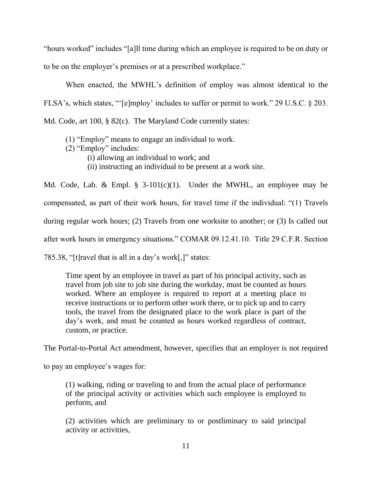"hours worked" includes "[a]ll time during which an employee is required to be on duty or to be on the employer's premises or at a prescribed workplace."

When enacted, the MWHL's definition of employ was almost identical to the FLSA's, which states, "'[e]mploy' includes to suffer or permit to work." 29 U.S.C. § 203. Md. Code, art 100, § 82(c). The Maryland Code currently states:

- (1) "Employ" means to engage an individual to work.
- (2) "Employ" includes:
	- (i) allowing an individual to work; and
		- (ii) instructing an individual to be present at a work site.

Md. Code, Lab. & Empl.  $\S$  3-101(c)(1). Under the MWHL, an employee may be compensated, as part of their work hours, for travel time if the individual: "(1) Travels during regular work hours; (2) Travels from one worksite to another; or (3) Is called out after work hours in emergency situations." COMAR 09.12.41.10. Title 29 C.F.R. Section 785.38, "[t]ravel that is all in a day's work[,]" states:

Time spent by an employee in travel as part of his principal activity, such as travel from job site to job site during the workday, must be counted as hours worked. Where an employee is required to report at a meeting place to receive instructions or to perform other work there, or to pick up and to carry tools, the travel from the designated place to the work place is part of the day's work, and must be counted as hours worked regardless of contract, custom, or practice.

The Portal-to-Portal Act amendment, however, specifies that an employer is not required

to pay an employee's wages for:

(1) walking, riding or traveling to and from the actual place of performance of the principal activity or activities which such employee is employed to perform, and

(2) activities which are preliminary to or postliminary to said principal activity or activities,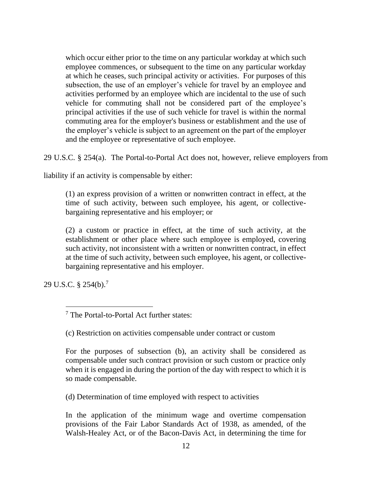which occur either prior to the time on any particular workday at which such employee commences, or subsequent to the time on any particular workday at which he ceases, such principal activity or activities. For purposes of this subsection, the use of an employer's vehicle for travel by an employee and activities performed by an employee which are incidental to the use of such vehicle for commuting shall not be considered part of the employee's principal activities if the use of such vehicle for travel is within the normal commuting area for the employer's business or establishment and the use of the employer's vehicle is subject to an agreement on the part of the employer and the employee or representative of such employee.

29 U.S.C. § 254(a). The Portal-to-Portal Act does not, however, relieve employers from

liability if an activity is compensable by either:

(1) an express provision of a written or nonwritten contract in effect, at the time of such activity, between such employee, his agent, or collectivebargaining representative and his employer; or

(2) a custom or practice in effect, at the time of such activity, at the establishment or other place where such employee is employed, covering such activity, not inconsistent with a written or nonwritten contract, in effect at the time of such activity, between such employee, his agent, or collectivebargaining representative and his employer.

29 U.S.C. § 254(b).<sup>7</sup>

(c) Restriction on activities compensable under contract or custom

For the purposes of subsection (b), an activity shall be considered as compensable under such contract provision or such custom or practice only when it is engaged in during the portion of the day with respect to which it is so made compensable.

(d) Determination of time employed with respect to activities

In the application of the minimum wage and overtime compensation provisions of the Fair Labor Standards Act of 1938, as amended, of the Walsh-Healey Act, or of the Bacon-Davis Act, in determining the time for

<sup>7</sup> The Portal-to-Portal Act further states: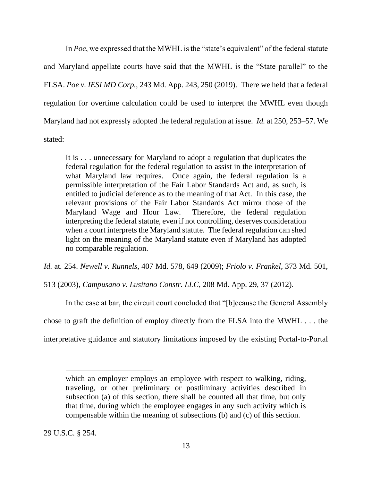In *Poe*, we expressed that the MWHL is the "state's equivalent" of the federal statute and Maryland appellate courts have said that the MWHL is the "State parallel" to the FLSA. *Poe v. IESI MD Corp.*, 243 Md. App. 243, 250 (2019). There we held that a federal regulation for overtime calculation could be used to interpret the MWHL even though Maryland had not expressly adopted the federal regulation at issue. *Id.* at 250, 253–57. We stated:

It is . . . unnecessary for Maryland to adopt a regulation that duplicates the federal regulation for the federal regulation to assist in the interpretation of what Maryland law requires. Once again, the federal regulation is a permissible interpretation of the Fair Labor Standards Act and, as such, is entitled to judicial deference as to the meaning of that Act. In this case, the relevant provisions of the Fair Labor Standards Act mirror those of the Maryland Wage and Hour Law. Therefore, the federal regulation interpreting the federal statute, even if not controlling, deserves consideration when a court interprets the Maryland statute. The federal regulation can shed light on the meaning of the Maryland statute even if Maryland has adopted no comparable regulation.

*Id.* at*.* 254. *Newell v. Runnels*, 407 Md. 578, 649 (2009); *Friolo v. Frankel*, 373 Md. 501,

513 (2003), *Campusano v. Lusitano Constr. LLC*, 208 Md. App. 29, 37 (2012).

In the case at bar, the circuit court concluded that "[b]ecause the General Assembly

chose to graft the definition of employ directly from the FLSA into the MWHL . . . the

interpretative guidance and statutory limitations imposed by the existing Portal-to-Portal

29 U.S.C. § 254.

which an employer employs an employee with respect to walking, riding, traveling, or other preliminary or postliminary activities described in subsection (a) of this section, there shall be counted all that time, but only that time, during which the employee engages in any such activity which is compensable within the meaning of subsections (b) and (c) of this section.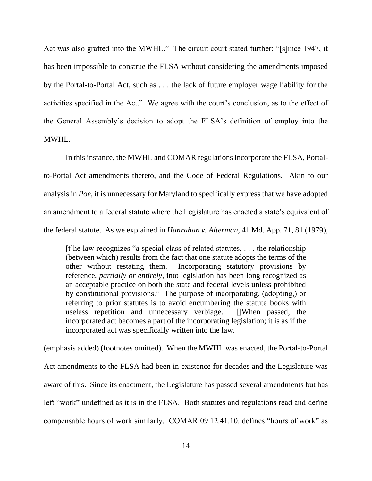Act was also grafted into the MWHL." The circuit court stated further: "[s]ince 1947, it has been impossible to construe the FLSA without considering the amendments imposed by the Portal-to-Portal Act, such as . . . the lack of future employer wage liability for the activities specified in the Act." We agree with the court's conclusion, as to the effect of the General Assembly's decision to adopt the FLSA's definition of employ into the MWHL.

In this instance, the MWHL and COMAR regulations incorporate the FLSA, Portalto-Portal Act amendments thereto, and the Code of Federal Regulations. Akin to our analysis in *Poe*, it is unnecessary for Maryland to specifically express that we have adopted an amendment to a federal statute where the Legislature has enacted a state's equivalent of the federal statute. As we explained in *Hanrahan v. Alterman*, 41 Md. App. 71, 81 (1979),

[t]he law recognizes "a special class of related statutes, . . . the relationship (between which) results from the fact that one statute adopts the terms of the other without restating them. Incorporating statutory provisions by reference, *partially or entirely*, into legislation has been long recognized as an acceptable practice on both the state and federal levels unless prohibited by constitutional provisions." The purpose of incorporating, (adopting,) or referring to prior statutes is to avoid encumbering the statute books with useless repetition and unnecessary verbiage. []When passed, the incorporated act becomes a part of the incorporating legislation; it is as if the incorporated act was specifically written into the law.

(emphasis added) (footnotes omitted). When the MWHL was enacted, the Portal-to-Portal Act amendments to the FLSA had been in existence for decades and the Legislature was aware of this. Since its enactment, the Legislature has passed several amendments but has left "work" undefined as it is in the FLSA. Both statutes and regulations read and define compensable hours of work similarly. COMAR 09.12.41.10. defines "hours of work" as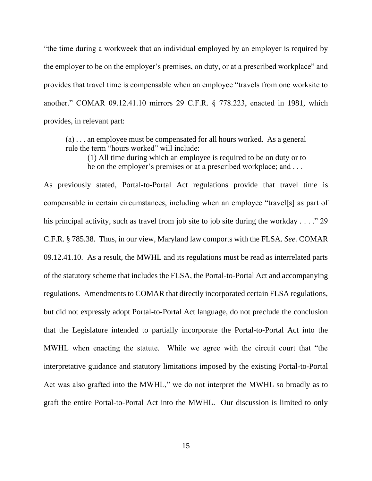"the time during a workweek that an individual employed by an employer is required by the employer to be on the employer's premises, on duty, or at a prescribed workplace" and provides that travel time is compensable when an employee "travels from one worksite to another." COMAR 09.12.41.10 mirrors 29 C.F.R. § 778.223, enacted in 1981, which provides, in relevant part:

(a) . . . an employee must be compensated for all hours worked. As a general rule the term "hours worked" will include:

(1) All time during which an employee is required to be on duty or to be on the employer's premises or at a prescribed workplace; and ...

As previously stated, Portal-to-Portal Act regulations provide that travel time is compensable in certain circumstances, including when an employee "travel[s] as part of his principal activity, such as travel from job site to job site during the workday . . . ." 29 C.F.R. § 785.38. Thus, in our view, Maryland law comports with the FLSA. *See.* COMAR 09.12.41.10. As a result, the MWHL and its regulations must be read as interrelated parts of the statutory scheme that includes the FLSA, the Portal-to-Portal Act and accompanying regulations. Amendments to COMAR that directly incorporated certain FLSA regulations, but did not expressly adopt Portal-to-Portal Act language, do not preclude the conclusion that the Legislature intended to partially incorporate the Portal-to-Portal Act into the MWHL when enacting the statute. While we agree with the circuit court that "the interpretative guidance and statutory limitations imposed by the existing Portal-to-Portal Act was also grafted into the MWHL," we do not interpret the MWHL so broadly as to graft the entire Portal-to-Portal Act into the MWHL. Our discussion is limited to only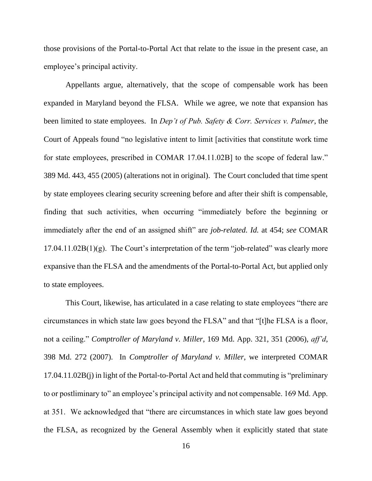those provisions of the Portal-to-Portal Act that relate to the issue in the present case, an employee's principal activity.

Appellants argue, alternatively, that the scope of compensable work has been expanded in Maryland beyond the FLSA. While we agree, we note that expansion has been limited to state employees. In *Dep't of Pub. Safety & Corr. Services v. Palmer*, the Court of Appeals found "no legislative intent to limit [activities that constitute work time for state employees, prescribed in COMAR 17.04.11.02B] to the scope of federal law." 389 Md. 443, 455 (2005) (alterations not in original). The Court concluded that time spent by state employees clearing security screening before and after their shift is compensable, finding that such activities, when occurring "immediately before the beginning or immediately after the end of an assigned shift" are *job-related. Id.* at 454; *see* COMAR  $17.04.11.02B(1)(g)$ . The Court's interpretation of the term "job-related" was clearly more expansive than the FLSA and the amendments of the Portal-to-Portal Act, but applied only to state employees.

This Court, likewise, has articulated in a case relating to state employees "there are circumstances in which state law goes beyond the FLSA" and that "[t]he FLSA is a floor, not a ceiling." *Comptroller of Maryland v. Miller*, 169 Md. App. 321, 351 (2006), *aff'd*, 398 Md. 272 (2007). In *Comptroller of Maryland v. Miller*, we interpreted COMAR 17.04.11.02B(j) in light of the Portal-to-Portal Act and held that commuting is "preliminary to or postliminary to" an employee's principal activity and not compensable. 169 Md. App. at 351. We acknowledged that "there are circumstances in which state law goes beyond the FLSA, as recognized by the General Assembly when it explicitly stated that state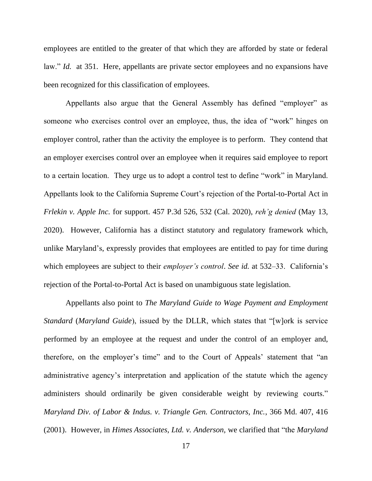employees are entitled to the greater of that which they are afforded by state or federal law." *Id.* at 351. Here, appellants are private sector employees and no expansions have been recognized for this classification of employees.

Appellants also argue that the General Assembly has defined "employer" as someone who exercises control over an employee, thus, the idea of "work" hinges on employer control, rather than the activity the employee is to perform. They contend that an employer exercises control over an employee when it requires said employee to report to a certain location. They urge us to adopt a control test to define "work" in Maryland. Appellants look to the California Supreme Court's rejection of the Portal-to-Portal Act in *Frlekin v. Apple Inc.* for support. 457 P.3d 526, 532 (Cal. 2020), *reh'g denied* (May 13, 2020). However, California has a distinct statutory and regulatory framework which, unlike Maryland's, expressly provides that employees are entitled to pay for time during which employees are subject to their *employer's control*. *See id.* at 532–33. California's rejection of the Portal-to-Portal Act is based on unambiguous state legislation.

Appellants also point to *The Maryland Guide to Wage Payment and Employment Standard* (*Maryland Guide*), issued by the DLLR, which states that "[w]ork is service performed by an employee at the request and under the control of an employer and, therefore, on the employer's time" and to the Court of Appeals' statement that "an administrative agency's interpretation and application of the statute which the agency administers should ordinarily be given considerable weight by reviewing courts." *Maryland Div. of Labor & Indus. v. Triangle Gen. Contractors, Inc.*, 366 Md. 407, 416 (2001). However, in *Himes Associates, Ltd. v. Anderson,* we clarified that "the *Maryland*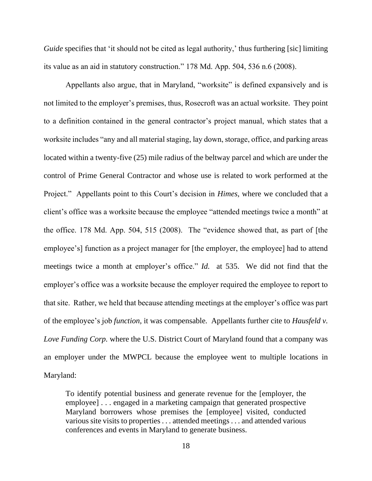*Guide* specifies that 'it should not be cited as legal authority,' thus furthering [sic] limiting its value as an aid in statutory construction." 178 Md. App. 504, 536 n.6 (2008).

Appellants also argue, that in Maryland, "worksite" is defined expansively and is not limited to the employer's premises, thus, Rosecroft was an actual worksite. They point to a definition contained in the general contractor's project manual, which states that a worksite includes "any and all material staging, lay down, storage, office, and parking areas located within a twenty-five (25) mile radius of the beltway parcel and which are under the control of Prime General Contractor and whose use is related to work performed at the Project." Appellants point to this Court's decision in *Himes*, where we concluded that a client's office was a worksite because the employee "attended meetings twice a month" at the office. 178 Md. App. 504, 515 (2008). The "evidence showed that, as part of [the employee's] function as a project manager for [the employer, the employee] had to attend meetings twice a month at employer's office." *Id.* at 535. We did not find that the employer's office was a worksite because the employer required the employee to report to that site. Rather, we held that because attending meetings at the employer's office was part of the employee's job *function,* it was compensable*.* Appellants further cite to *Hausfeld v. Love Funding Corp.* where the U.S. District Court of Maryland found that a company was an employer under the MWPCL because the employee went to multiple locations in Maryland:

To identify potential business and generate revenue for the [employer, the employee] . . . engaged in a marketing campaign that generated prospective Maryland borrowers whose premises the [employee] visited, conducted various site visits to properties . . . attended meetings . . . and attended various conferences and events in Maryland to generate business.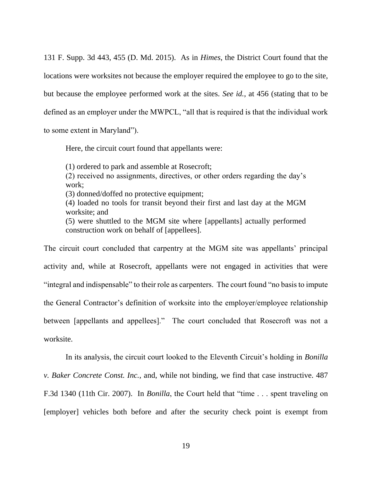131 F. Supp. 3d 443, 455 (D. Md. 2015). As in *Himes*, the District Court found that the locations were worksites not because the employer required the employee to go to the site, but because the employee performed work at the sites. *See id.*, at 456 (stating that to be defined as an employer under the MWPCL, "all that is required is that the individual work to some extent in Maryland").

Here, the circuit court found that appellants were:

(1) ordered to park and assemble at Rosecroft;

(2) received no assignments, directives, or other orders regarding the day's work;

(3) donned/doffed no protective equipment;

(4) loaded no tools for transit beyond their first and last day at the MGM worksite; and

(5) were shuttled to the MGM site where [appellants] actually performed construction work on behalf of [appellees].

The circuit court concluded that carpentry at the MGM site was appellants' principal activity and, while at Rosecroft, appellants were not engaged in activities that were "integral and indispensable" to their role as carpenters. The court found "no basis to impute the General Contractor's definition of worksite into the employer/employee relationship between [appellants and appellees]." The court concluded that Rosecroft was not a worksite.

In its analysis, the circuit court looked to the Eleventh Circuit's holding in *Bonilla v. Baker Concrete Const. Inc.*, and, while not binding, we find that case instructive. 487 F.3d 1340 (11th Cir. 2007). In *Bonilla*, the Court held that "time . . . spent traveling on [employer] vehicles both before and after the security check point is exempt from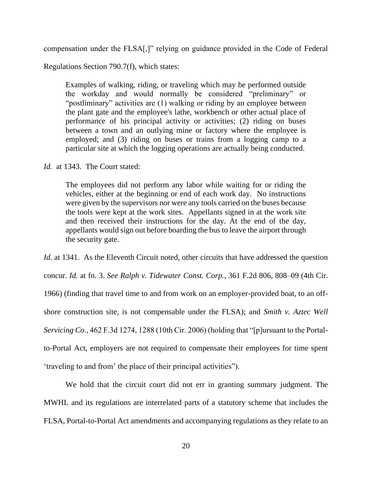compensation under the FLSA[,]" relying on guidance provided in the Code of Federal

Regulations Section 790.7(f), which states:

Examples of walking, riding, or traveling which may be performed outside the workday and would normally be considered "preliminary" or "postliminary" activities are (1) walking or riding by an employee between the plant gate and the employee's lathe, workbench or other actual place of performance of his principal activity or activities; (2) riding on buses between a town and an outlying mine or factory where the employee is employed; and (3) riding on buses or trains from a logging camp to a particular site at which the logging operations are actually being conducted.

*Id.* at 1343. The Court stated:

The employees did not perform any labor while waiting for or riding the vehicles, either at the beginning or end of each work day. No instructions were given by the supervisors nor were any tools carried on the buses because the tools were kept at the work sites. Appellants signed in at the work site and then received their instructions for the day. At the end of the day, appellants would sign out before boarding the bus to leave the airport through the security gate.

*Id.* at 1341. As the Eleventh Circuit noted, other circuits that have addressed the question concur. *Id.* at fn. 3. *See Ralph v. Tidewater Const. Corp.*, 361 F.2d 806, 808–09 (4th Cir. 1966) (finding that travel time to and from work on an employer-provided boat, to an offshore construction site, is not compensable under the FLSA); and *Smith v. Aztec Well Servicing Co.*, 462 F.3d 1274, 1288 (10th Cir. 2006) (holding that "[p]ursuant to the Portalto-Portal Act, employers are not required to compensate their employees for time spent 'traveling to and from' the place of their principal activities").

We hold that the circuit court did not err in granting summary judgment. The MWHL and its regulations are interrelated parts of a statutory scheme that includes the FLSA, Portal-to-Portal Act amendments and accompanying regulations as they relate to an